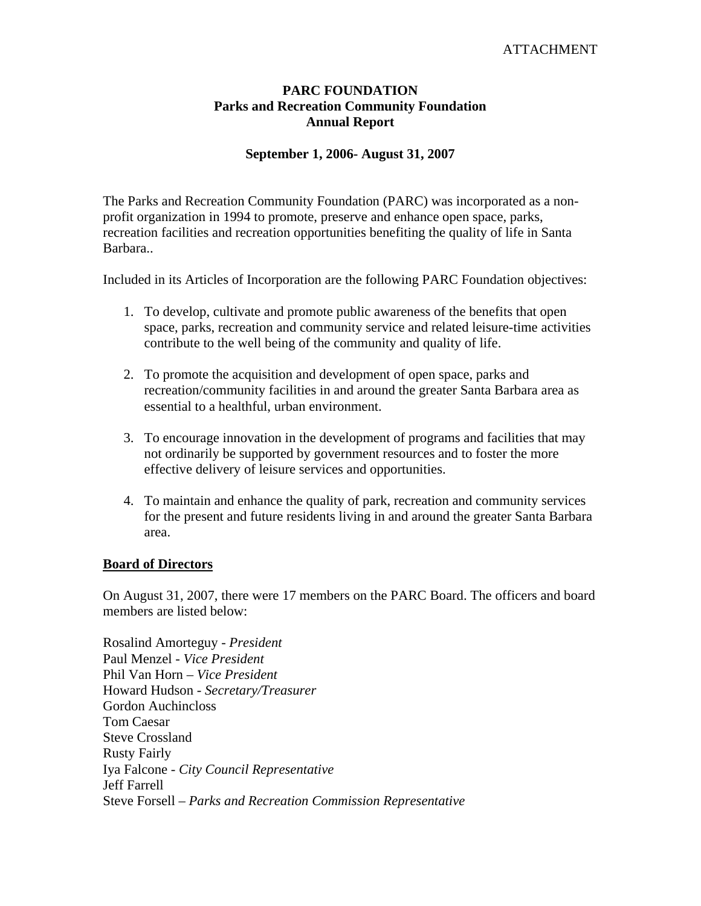## ATTACHMENT

## **PARC FOUNDATION Parks and Recreation Community Foundation Annual Report**

### **September 1, 2006- August 31, 2007**

The Parks and Recreation Community Foundation (PARC) was incorporated as a nonprofit organization in 1994 to promote, preserve and enhance open space, parks, recreation facilities and recreation opportunities benefiting the quality of life in Santa Barbara..

Included in its Articles of Incorporation are the following PARC Foundation objectives:

- 1. To develop, cultivate and promote public awareness of the benefits that open space, parks, recreation and community service and related leisure-time activities contribute to the well being of the community and quality of life.
- 2. To promote the acquisition and development of open space, parks and recreation/community facilities in and around the greater Santa Barbara area as essential to a healthful, urban environment.
- 3. To encourage innovation in the development of programs and facilities that may not ordinarily be supported by government resources and to foster the more effective delivery of leisure services and opportunities.
- 4. To maintain and enhance the quality of park, recreation and community services for the present and future residents living in and around the greater Santa Barbara area.

#### **Board of Directors**

On August 31, 2007, there were 17 members on the PARC Board. The officers and board members are listed below:

Rosalind Amorteguy - *President*  Paul Menzel - *Vice President* Phil Van Horn – *Vice President* Howard Hudson - *Secretary/Treasurer* Gordon Auchincloss Tom Caesar Steve Crossland Rusty Fairly Iya Falcone - *City Council Representative*  Jeff Farrell Steve Forsell – *Parks and Recreation Commission Representative*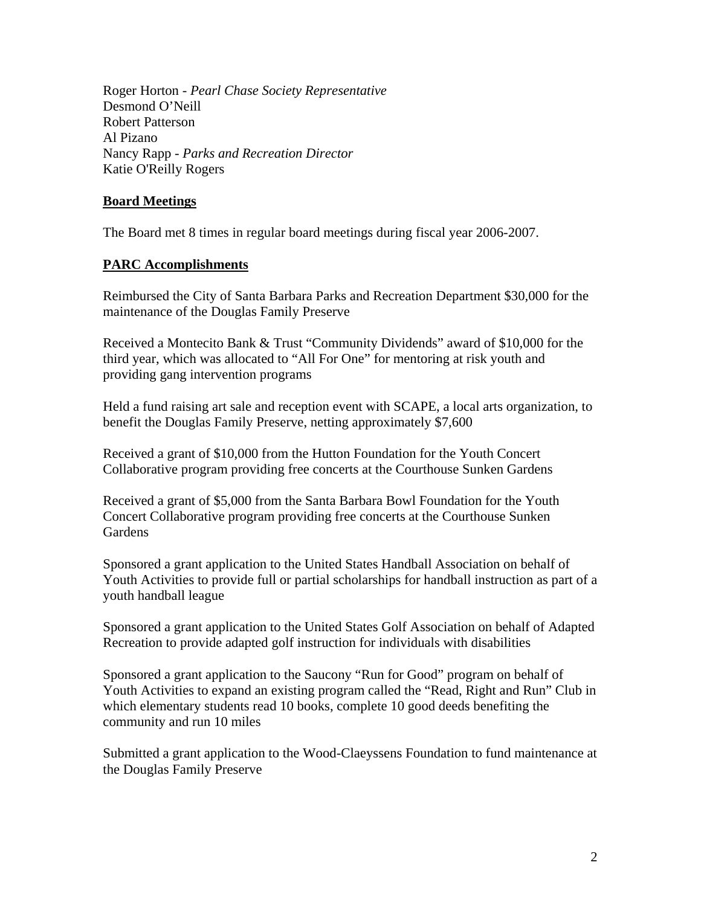Roger Horton - *Pearl Chase Society Representative* Desmond O'Neill Robert Patterson Al Pizano Nancy Rapp - *Parks and Recreation Director* Katie O'Reilly Rogers

## **Board Meetings**

The Board met 8 times in regular board meetings during fiscal year 2006-2007.

## **PARC Accomplishments**

Reimbursed the City of Santa Barbara Parks and Recreation Department \$30,000 for the maintenance of the Douglas Family Preserve

Received a Montecito Bank & Trust "Community Dividends" award of \$10,000 for the third year, which was allocated to "All For One" for mentoring at risk youth and providing gang intervention programs

Held a fund raising art sale and reception event with SCAPE, a local arts organization, to benefit the Douglas Family Preserve, netting approximately \$7,600

Received a grant of \$10,000 from the Hutton Foundation for the Youth Concert Collaborative program providing free concerts at the Courthouse Sunken Gardens

Received a grant of \$5,000 from the Santa Barbara Bowl Foundation for the Youth Concert Collaborative program providing free concerts at the Courthouse Sunken **Gardens** 

Sponsored a grant application to the United States Handball Association on behalf of Youth Activities to provide full or partial scholarships for handball instruction as part of a youth handball league

Sponsored a grant application to the United States Golf Association on behalf of Adapted Recreation to provide adapted golf instruction for individuals with disabilities

Sponsored a grant application to the Saucony "Run for Good" program on behalf of Youth Activities to expand an existing program called the "Read, Right and Run" Club in which elementary students read 10 books, complete 10 good deeds benefiting the community and run 10 miles

Submitted a grant application to the Wood-Claeyssens Foundation to fund maintenance at the Douglas Family Preserve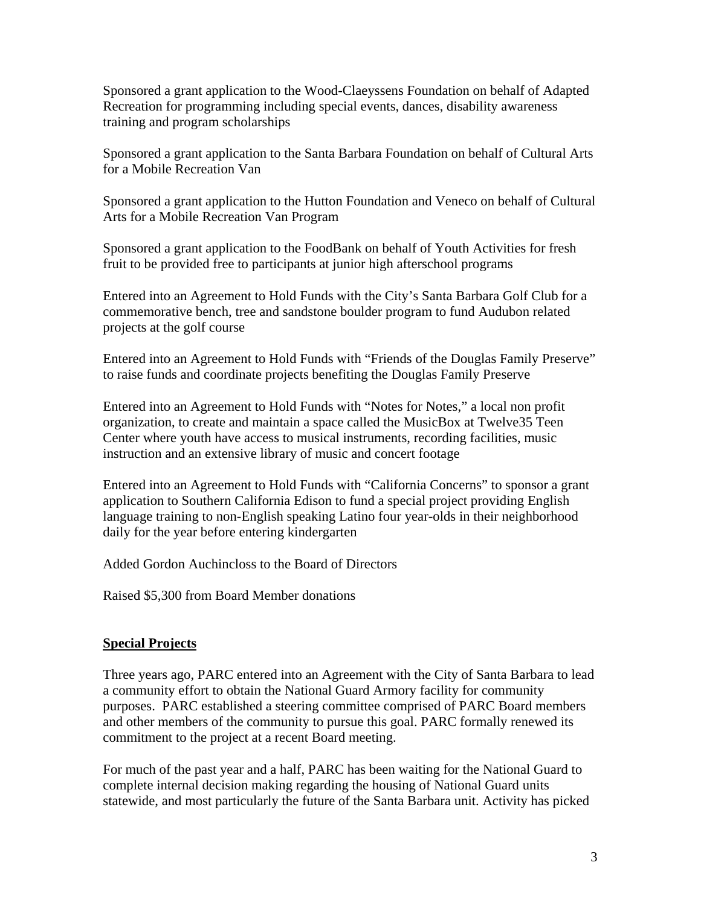Sponsored a grant application to the Wood-Claeyssens Foundation on behalf of Adapted Recreation for programming including special events, dances, disability awareness training and program scholarships

Sponsored a grant application to the Santa Barbara Foundation on behalf of Cultural Arts for a Mobile Recreation Van

Sponsored a grant application to the Hutton Foundation and Veneco on behalf of Cultural Arts for a Mobile Recreation Van Program

Sponsored a grant application to the FoodBank on behalf of Youth Activities for fresh fruit to be provided free to participants at junior high afterschool programs

Entered into an Agreement to Hold Funds with the City's Santa Barbara Golf Club for a commemorative bench, tree and sandstone boulder program to fund Audubon related projects at the golf course

Entered into an Agreement to Hold Funds with "Friends of the Douglas Family Preserve" to raise funds and coordinate projects benefiting the Douglas Family Preserve

Entered into an Agreement to Hold Funds with "Notes for Notes," a local non profit organization, to create and maintain a space called the MusicBox at Twelve35 Teen Center where youth have access to musical instruments, recording facilities, music instruction and an extensive library of music and concert footage

Entered into an Agreement to Hold Funds with "California Concerns" to sponsor a grant application to Southern California Edison to fund a special project providing English language training to non-English speaking Latino four year-olds in their neighborhood daily for the year before entering kindergarten

Added Gordon Auchincloss to the Board of Directors

Raised \$5,300 from Board Member donations

# **Special Projects**

Three years ago, PARC entered into an Agreement with the City of Santa Barbara to lead a community effort to obtain the National Guard Armory facility for community purposes. PARC established a steering committee comprised of PARC Board members and other members of the community to pursue this goal. PARC formally renewed its commitment to the project at a recent Board meeting.

For much of the past year and a half, PARC has been waiting for the National Guard to complete internal decision making regarding the housing of National Guard units statewide, and most particularly the future of the Santa Barbara unit. Activity has picked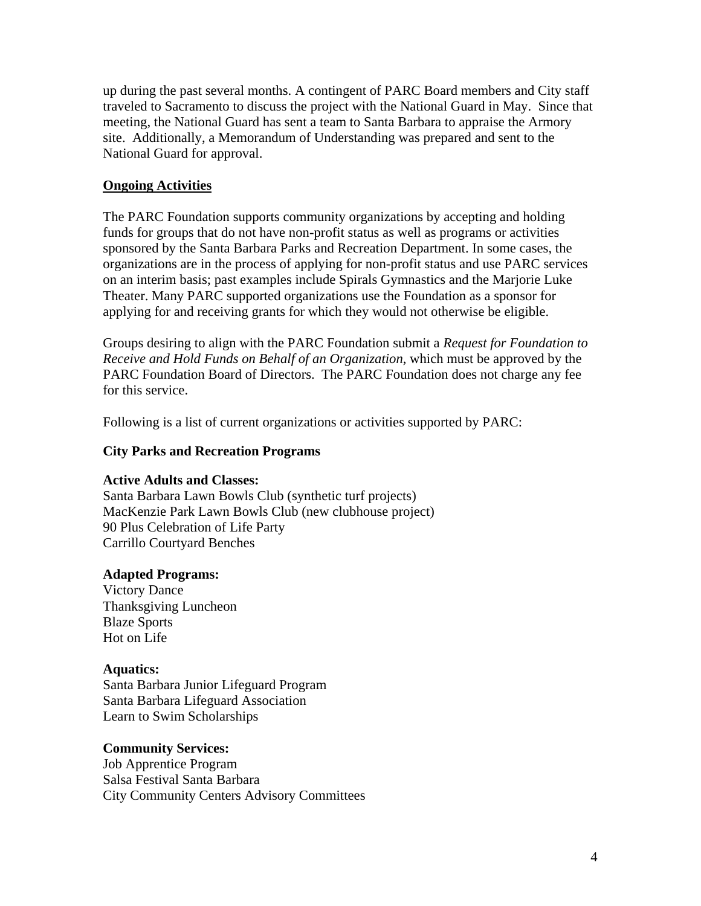up during the past several months. A contingent of PARC Board members and City staff traveled to Sacramento to discuss the project with the National Guard in May. Since that meeting, the National Guard has sent a team to Santa Barbara to appraise the Armory site. Additionally, a Memorandum of Understanding was prepared and sent to the National Guard for approval.

### **Ongoing Activities**

The PARC Foundation supports community organizations by accepting and holding funds for groups that do not have non-profit status as well as programs or activities sponsored by the Santa Barbara Parks and Recreation Department. In some cases, the organizations are in the process of applying for non-profit status and use PARC services on an interim basis; past examples include Spirals Gymnastics and the Marjorie Luke Theater. Many PARC supported organizations use the Foundation as a sponsor for applying for and receiving grants for which they would not otherwise be eligible.

Groups desiring to align with the PARC Foundation submit a *Request for Foundation to Receive and Hold Funds on Behalf of an Organization*, which must be approved by the PARC Foundation Board of Directors. The PARC Foundation does not charge any fee for this service.

Following is a list of current organizations or activities supported by PARC:

#### **City Parks and Recreation Programs**

#### **Active Adults and Classes:**

Santa Barbara Lawn Bowls Club (synthetic turf projects) MacKenzie Park Lawn Bowls Club (new clubhouse project) 90 Plus Celebration of Life Party Carrillo Courtyard Benches

#### **Adapted Programs:**

Victory Dance Thanksgiving Luncheon Blaze Sports Hot on Life

#### **Aquatics:**

Santa Barbara Junior Lifeguard Program Santa Barbara Lifeguard Association Learn to Swim Scholarships

#### **Community Services:**

Job Apprentice Program Salsa Festival Santa Barbara City Community Centers Advisory Committees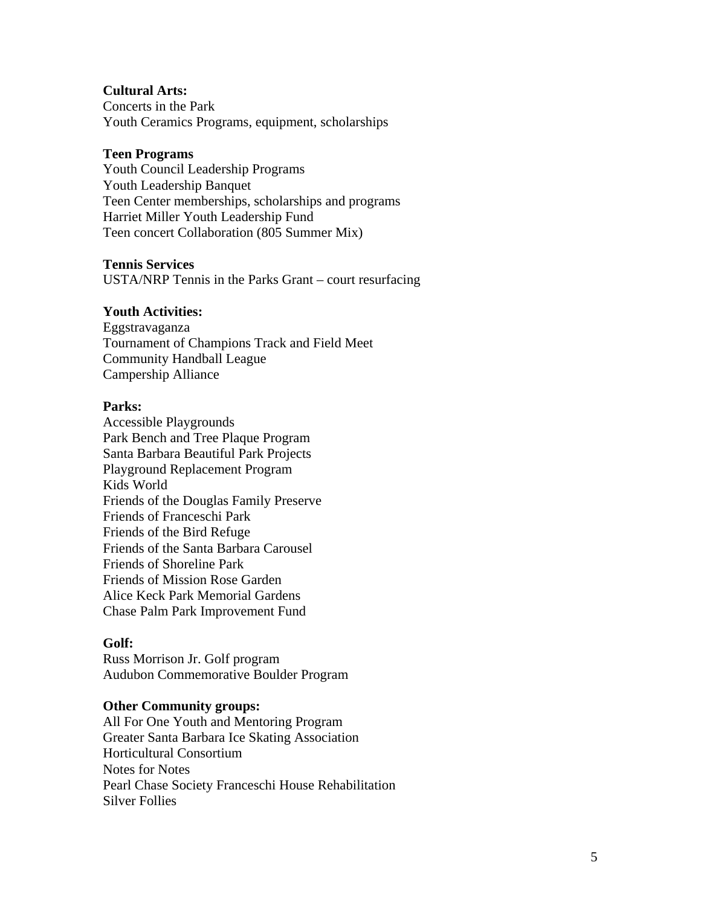## **Cultural Arts:**

Concerts in the Park Youth Ceramics Programs, equipment, scholarships

### **Teen Programs**

Youth Council Leadership Programs Youth Leadership Banquet Teen Center memberships, scholarships and programs Harriet Miller Youth Leadership Fund Teen concert Collaboration (805 Summer Mix)

### **Tennis Services**

USTA/NRP Tennis in the Parks Grant – court resurfacing

### **Youth Activities:**

Eggstravaganza Tournament of Champions Track and Field Meet Community Handball League Campership Alliance

### **Parks:**

Accessible Playgrounds Park Bench and Tree Plaque Program Santa Barbara Beautiful Park Projects Playground Replacement Program Kids World Friends of the Douglas Family Preserve Friends of Franceschi Park Friends of the Bird Refuge Friends of the Santa Barbara Carousel Friends of Shoreline Park Friends of Mission Rose Garden Alice Keck Park Memorial Gardens Chase Palm Park Improvement Fund

### **Golf:**

Russ Morrison Jr. Golf program Audubon Commemorative Boulder Program

### **Other Community groups:**

All For One Youth and Mentoring Program Greater Santa Barbara Ice Skating Association Horticultural Consortium Notes for Notes Pearl Chase Society Franceschi House Rehabilitation Silver Follies